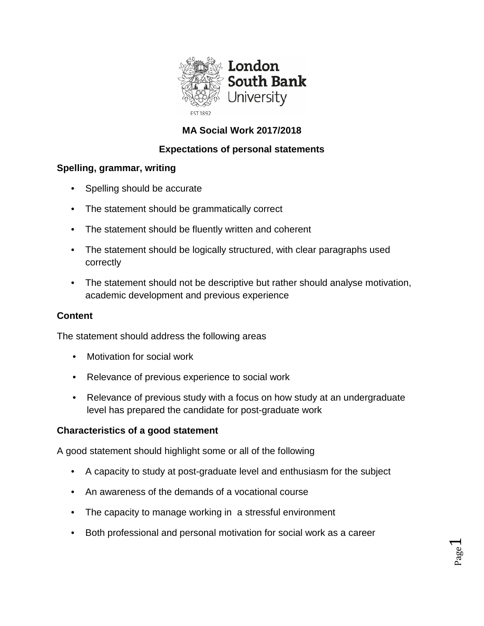

# **MA Social Work 2017/2018**

# **Expectations of personal statements**

## **Spelling, grammar, writing**

- Spelling should be accurate
- The statement should be grammatically correct
- The statement should be fluently written and coherent
- The statement should be logically structured, with clear paragraphs used correctly
- The statement should not be descriptive but rather should analyse motivation, academic development and previous experience

## **Content**

The statement should address the following areas

- Motivation for social work
- Relevance of previous experience to social work
- Relevance of previous study with a focus on how study at an undergraduate level has prepared the candidate for post-graduate work

## **Characteristics of a good statement**

A good statement should highlight some or all of the following

- A capacity to study at post-graduate level and enthusiasm for the subject
- An awareness of the demands of a vocational course
- The capacity to manage working in a stressful environment
- Both professional and personal motivation for social work as a career